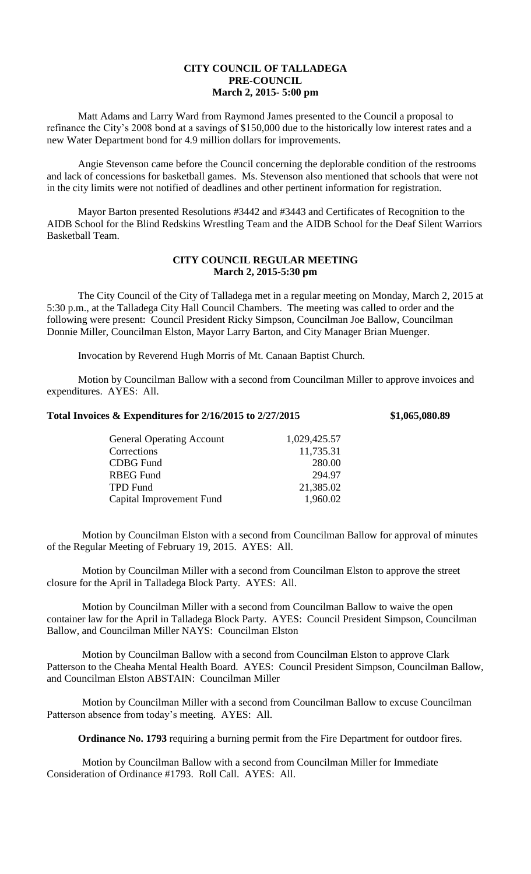## **CITY COUNCIL OF TALLADEGA PRE-COUNCIL March 2, 2015- 5:00 pm**

Matt Adams and Larry Ward from Raymond James presented to the Council a proposal to refinance the City's 2008 bond at a savings of \$150,000 due to the historically low interest rates and a new Water Department bond for 4.9 million dollars for improvements.

Angie Stevenson came before the Council concerning the deplorable condition of the restrooms and lack of concessions for basketball games. Ms. Stevenson also mentioned that schools that were not in the city limits were not notified of deadlines and other pertinent information for registration.

Mayor Barton presented Resolutions #3442 and #3443 and Certificates of Recognition to the AIDB School for the Blind Redskins Wrestling Team and the AIDB School for the Deaf Silent Warriors Basketball Team.

## **CITY COUNCIL REGULAR MEETING March 2, 2015-5:30 pm**

The City Council of the City of Talladega met in a regular meeting on Monday, March 2, 2015 at 5:30 p.m., at the Talladega City Hall Council Chambers. The meeting was called to order and the following were present: Council President Ricky Simpson, Councilman Joe Ballow, Councilman Donnie Miller, Councilman Elston, Mayor Larry Barton, and City Manager Brian Muenger.

Invocation by Reverend Hugh Morris of Mt. Canaan Baptist Church.

Motion by Councilman Ballow with a second from Councilman Miller to approve invoices and expenditures. AYES: All.

## **Total Invoices & Expenditures for 2/16/2015 to 2/27/2015 \$1,065,080.89**

| <b>General Operating Account</b> | 1,029,425.57 |
|----------------------------------|--------------|
| Corrections                      | 11,735.31    |
| <b>CDBG</b> Fund                 | 280.00       |
| <b>RBEG Fund</b>                 | 294.97       |
| <b>TPD Fund</b>                  | 21,385.02    |
| Capital Improvement Fund         | 1,960.02     |
|                                  |              |

Motion by Councilman Elston with a second from Councilman Ballow for approval of minutes of the Regular Meeting of February 19, 2015. AYES: All.

Motion by Councilman Miller with a second from Councilman Elston to approve the street closure for the April in Talladega Block Party. AYES: All.

Motion by Councilman Miller with a second from Councilman Ballow to waive the open container law for the April in Talladega Block Party. AYES: Council President Simpson, Councilman Ballow, and Councilman Miller NAYS: Councilman Elston

Motion by Councilman Ballow with a second from Councilman Elston to approve Clark Patterson to the Cheaha Mental Health Board. AYES: Council President Simpson, Councilman Ballow, and Councilman Elston ABSTAIN: Councilman Miller

Motion by Councilman Miller with a second from Councilman Ballow to excuse Councilman Patterson absence from today's meeting. AYES: All.

**Ordinance No. 1793** requiring a burning permit from the Fire Department for outdoor fires.

Motion by Councilman Ballow with a second from Councilman Miller for Immediate Consideration of Ordinance #1793. Roll Call. AYES: All.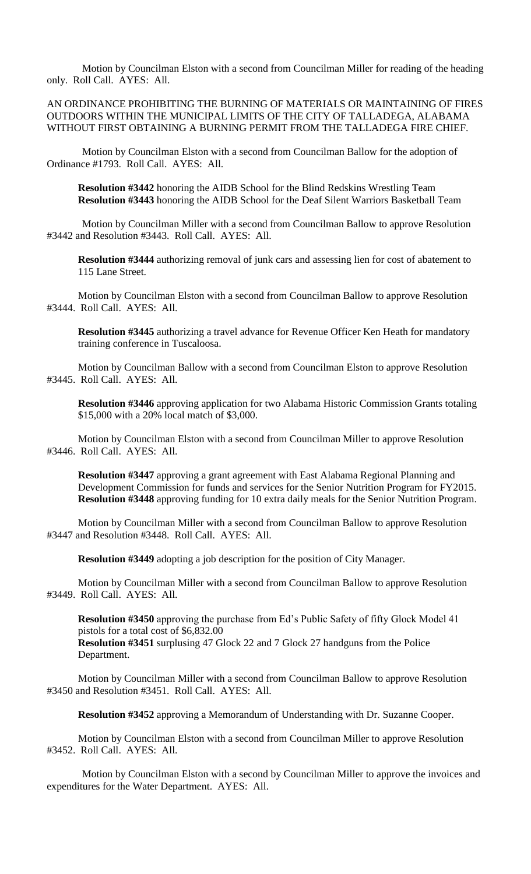Motion by Councilman Elston with a second from Councilman Miller for reading of the heading only. Roll Call. AYES: All.

AN ORDINANCE PROHIBITING THE BURNING OF MATERIALS OR MAINTAINING OF FIRES OUTDOORS WITHIN THE MUNICIPAL LIMITS OF THE CITY OF TALLADEGA, ALABAMA WITHOUT FIRST OBTAINING A BURNING PERMIT FROM THE TALLADEGA FIRE CHIEF.

Motion by Councilman Elston with a second from Councilman Ballow for the adoption of Ordinance #1793. Roll Call. AYES: All.

**Resolution #3442** honoring the AIDB School for the Blind Redskins Wrestling Team **Resolution #3443** honoring the AIDB School for the Deaf Silent Warriors Basketball Team

Motion by Councilman Miller with a second from Councilman Ballow to approve Resolution #3442 and Resolution #3443. Roll Call. AYES: All.

**Resolution #3444** authorizing removal of junk cars and assessing lien for cost of abatement to 115 Lane Street.

Motion by Councilman Elston with a second from Councilman Ballow to approve Resolution #3444. Roll Call. AYES: All.

**Resolution #3445** authorizing a travel advance for Revenue Officer Ken Heath for mandatory training conference in Tuscaloosa.

Motion by Councilman Ballow with a second from Councilman Elston to approve Resolution #3445. Roll Call. AYES: All.

**Resolution #3446** approving application for two Alabama Historic Commission Grants totaling \$15,000 with a 20% local match of \$3,000.

Motion by Councilman Elston with a second from Councilman Miller to approve Resolution #3446. Roll Call. AYES: All.

**Resolution #3447** approving a grant agreement with East Alabama Regional Planning and Development Commission for funds and services for the Senior Nutrition Program for FY2015. **Resolution #3448** approving funding for 10 extra daily meals for the Senior Nutrition Program.

Motion by Councilman Miller with a second from Councilman Ballow to approve Resolution #3447 and Resolution #3448. Roll Call. AYES: All.

**Resolution #3449** adopting a job description for the position of City Manager.

Motion by Councilman Miller with a second from Councilman Ballow to approve Resolution #3449. Roll Call. AYES: All.

**Resolution #3450** approving the purchase from Ed's Public Safety of fifty Glock Model 41 pistols for a total cost of \$6,832.00

**Resolution #3451** surplusing 47 Glock 22 and 7 Glock 27 handguns from the Police Department.

Motion by Councilman Miller with a second from Councilman Ballow to approve Resolution #3450 and Resolution #3451. Roll Call. AYES: All.

**Resolution #3452** approving a Memorandum of Understanding with Dr. Suzanne Cooper.

Motion by Councilman Elston with a second from Councilman Miller to approve Resolution #3452. Roll Call. AYES: All.

Motion by Councilman Elston with a second by Councilman Miller to approve the invoices and expenditures for the Water Department. AYES: All.